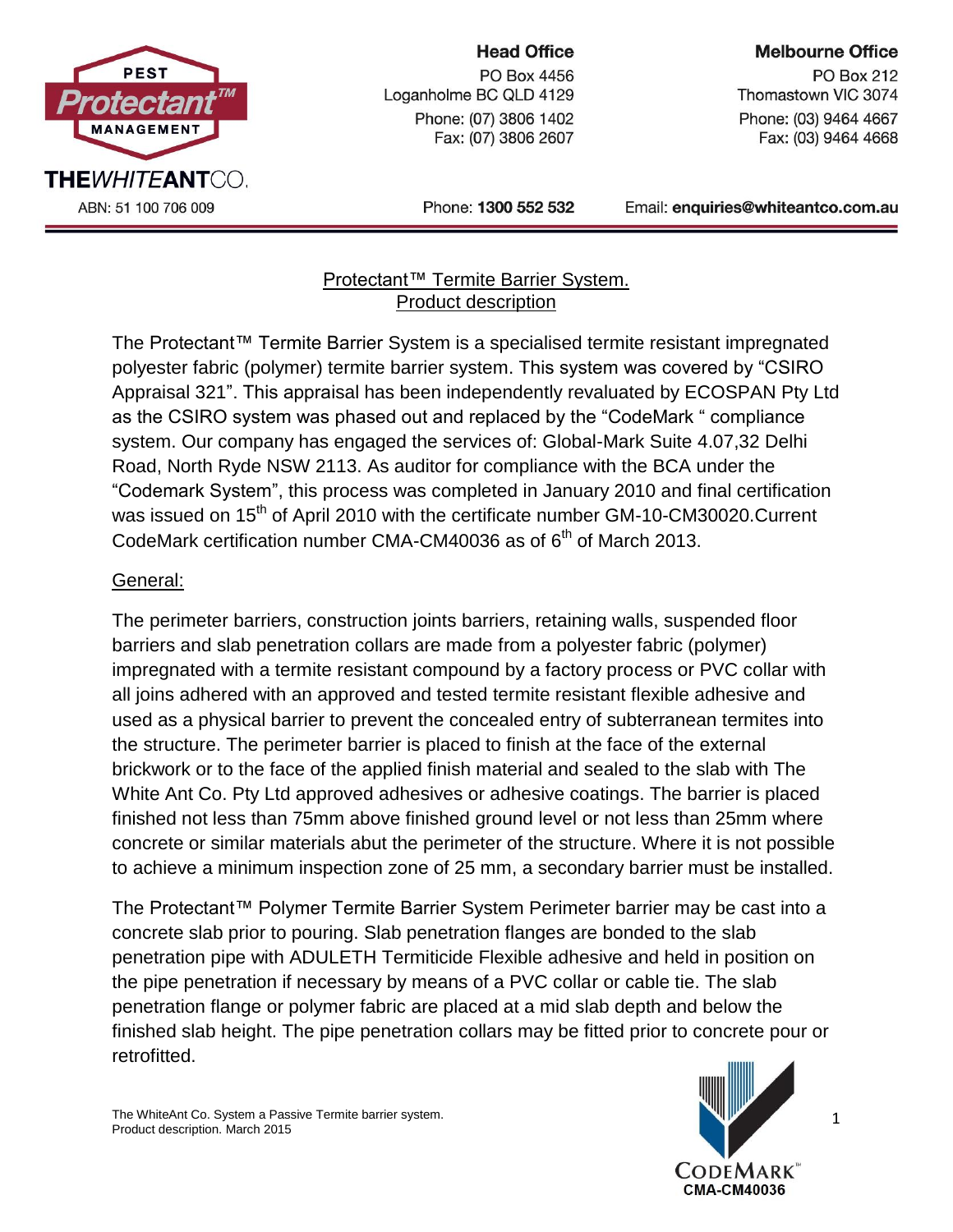

# **Head Office**

PO Box 4456 Loganholme BC QLD 4129 Phone: (07) 3806 1402 Fax: (07) 3806 2607

#### **Melbourne Office**

**PO Box 212** Thomastown VIC 3074 Phone: (03) 9464 4667 Fax: (03) 9464 4668

Phone: 1300 552 532

Email: enquiries@whiteantco.com.au

#### Protectant™ Termite Barrier System. Product description

The Protectant™ Termite Barrier System is a specialised termite resistant impregnated polyester fabric (polymer) termite barrier system. This system was covered by "CSIRO Appraisal 321". This appraisal has been independently revaluated by ECOSPAN Pty Ltd as the CSIRO system was phased out and replaced by the "CodeMark " compliance system. Our company has engaged the services of: Global-Mark Suite 4.07,32 Delhi Road, North Ryde NSW 2113. As auditor for compliance with the BCA under the "Codemark System", this process was completed in January 2010 and final certification was issued on 15<sup>th</sup> of April 2010 with the certificate number GM-10-CM30020.Current CodeMark certification number CMA-CM40036 as of  $6<sup>th</sup>$  of March 2013.

## General:

The perimeter barriers, construction joints barriers, retaining walls, suspended floor barriers and slab penetration collars are made from a polyester fabric (polymer) impregnated with a termite resistant compound by a factory process or PVC collar with all joins adhered with an approved and tested termite resistant flexible adhesive and used as a physical barrier to prevent the concealed entry of subterranean termites into the structure. The perimeter barrier is placed to finish at the face of the external brickwork or to the face of the applied finish material and sealed to the slab with The White Ant Co. Pty Ltd approved adhesives or adhesive coatings. The barrier is placed finished not less than 75mm above finished ground level or not less than 25mm where concrete or similar materials abut the perimeter of the structure. Where it is not possible to achieve a minimum inspection zone of 25 mm, a secondary barrier must be installed.

The Protectant™ Polymer Termite Barrier System Perimeter barrier may be cast into a concrete slab prior to pouring. Slab penetration flanges are bonded to the slab penetration pipe with ADULETH Termiticide Flexible adhesive and held in position on the pipe penetration if necessary by means of a PVC collar or cable tie. The slab penetration flange or polymer fabric are placed at a mid slab depth and below the finished slab height. The pipe penetration collars may be fitted prior to concrete pour or retrofitted.



1